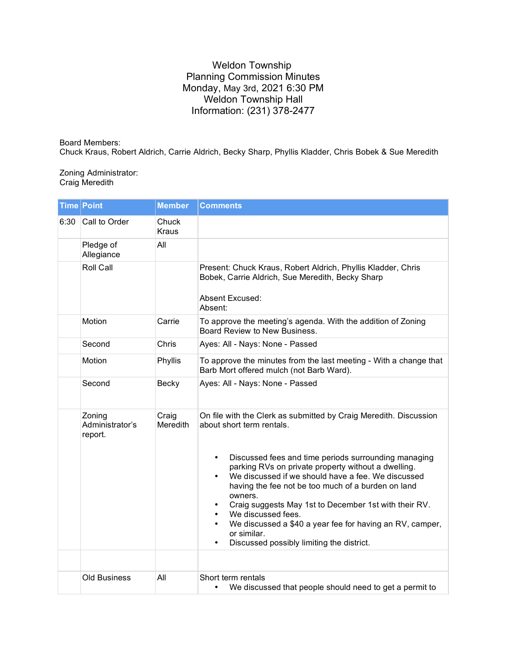## Weldon Township Planning Commission Minutes Monday, May 3rd, 2021 6:30 PM Weldon Township Hall Information: (231) 378-2477

## Board Members:

Chuck Kraus, Robert Aldrich, Carrie Aldrich, Becky Sharp, Phyllis Kladder, Chris Bobek & Sue Meredith

## Zoning Administrator: Craig Meredith

|      | <b>Time Point</b>                    | <b>Member</b>         | <b>Comments</b>                                                                                                                                                                                                                                                                                                                                                                                                                                                                                                                                                                         |
|------|--------------------------------------|-----------------------|-----------------------------------------------------------------------------------------------------------------------------------------------------------------------------------------------------------------------------------------------------------------------------------------------------------------------------------------------------------------------------------------------------------------------------------------------------------------------------------------------------------------------------------------------------------------------------------------|
| 6:30 | Call to Order                        | Chuck<br><b>Kraus</b> |                                                                                                                                                                                                                                                                                                                                                                                                                                                                                                                                                                                         |
|      | Pledge of<br>Allegiance              | All                   |                                                                                                                                                                                                                                                                                                                                                                                                                                                                                                                                                                                         |
|      | Roll Call                            |                       | Present: Chuck Kraus, Robert Aldrich, Phyllis Kladder, Chris<br>Bobek, Carrie Aldrich, Sue Meredith, Becky Sharp<br>Absent Excused:<br>Absent:                                                                                                                                                                                                                                                                                                                                                                                                                                          |
|      | Motion                               | Carrie                | To approve the meeting's agenda. With the addition of Zoning<br>Board Review to New Business.                                                                                                                                                                                                                                                                                                                                                                                                                                                                                           |
|      | Second                               | Chris                 | Ayes: All - Nays: None - Passed                                                                                                                                                                                                                                                                                                                                                                                                                                                                                                                                                         |
|      | Motion                               | Phyllis               | To approve the minutes from the last meeting - With a change that<br>Barb Mort offered mulch (not Barb Ward).                                                                                                                                                                                                                                                                                                                                                                                                                                                                           |
|      | Second                               | Becky                 | Ayes: All - Nays: None - Passed                                                                                                                                                                                                                                                                                                                                                                                                                                                                                                                                                         |
|      | Zoning<br>Administrator's<br>report. | Craig<br>Meredith     | On file with the Clerk as submitted by Craig Meredith. Discussion<br>about short term rentals.<br>Discussed fees and time periods surrounding managing<br>$\bullet$<br>parking RVs on private property without a dwelling.<br>We discussed if we should have a fee. We discussed<br>$\bullet$<br>having the fee not be too much of a burden on land<br>owners.<br>Craig suggests May 1st to December 1st with their RV.<br>We discussed fees.<br>We discussed a \$40 a year fee for having an RV, camper,<br>$\bullet$<br>or similar.<br>Discussed possibly limiting the district.<br>٠ |
|      | <b>Old Business</b>                  | All                   | Short term rentals<br>We discussed that people should need to get a permit to<br>$\bullet$                                                                                                                                                                                                                                                                                                                                                                                                                                                                                              |